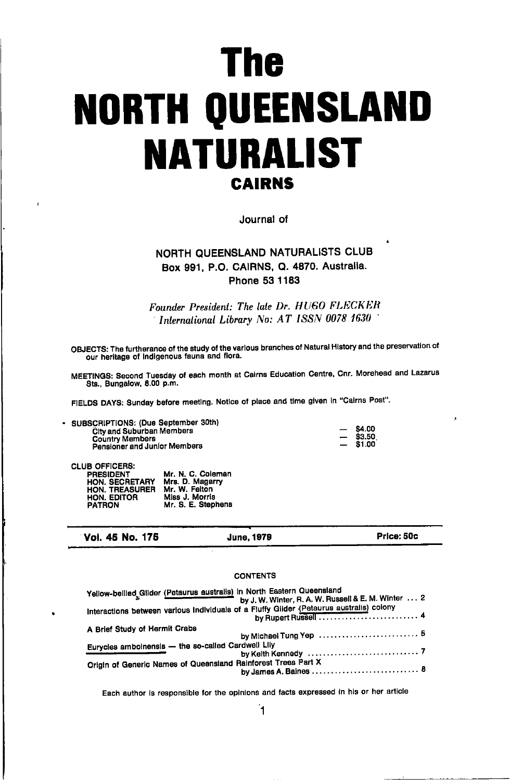# The **NORTH QUEENSLAND NATURALIST CAIRNS**

Journal of

# NORTH QUEENSLAND NATURALISTS CLUB Box 991, P.O. CAIRNS, Q. 4870. Australia. Phone 53 1183

Founder President: The late Dr. HUGO FLECKER International Library No: AT ISSN 0078 1630

OBJECTS: The furtherance of the study of the various branches of Natural History and the preservation of our heritage of Indigenous fauna and flora.

MEETINGS: Second Tuesday of each month at Cairns Education Centre, Cnr. Morehead and Lazarus Sts., Bungalow, 8.00 p.m.

FIELDS DAYS: Sunday before meeting. Notice of place and time given in "Cairns Post".

- SUBSCRIPTIONS: (Due September 30th) **City and Suburban Members Country Members** Pensioner and Junior Members

| \$4.00 |
|--------|
| \$3.50 |
| S1.OO  |

**CLUB OFFICERS:** 

| <b>PRESIDENT</b> | Mr. N. C. Coleman  |
|------------------|--------------------|
| HON. SECRETARY   | Mrs. D. Magarry    |
| HON. TREASURER   | Mr. W. Felton      |
| HON. EDITOR      | Miss J. Morris     |
| <b>PATRON</b>    | Mr. S. E. Stephens |

Vol. 45 No. 175

# **June, 1979**

**CONTENTS** 

Price: 50c

#### Yellow-bellied Glider (Petaurus australis) in North Eastern Queensland by J. W. Winter, R. A. W. Russell & E. M. Winter ... 2 A Brief Study of Hermit Crabs Eurycles amboinensis - the so-called Cardwell Lliy by Keith Kennedy ...... Origin of Generic Names of Queensland Rainforest Trees Part X . . . . . . . . . . . . . . . . . 8 by James A. Baines .........

Each author is responsible for the opinions and facts expressed in his or her article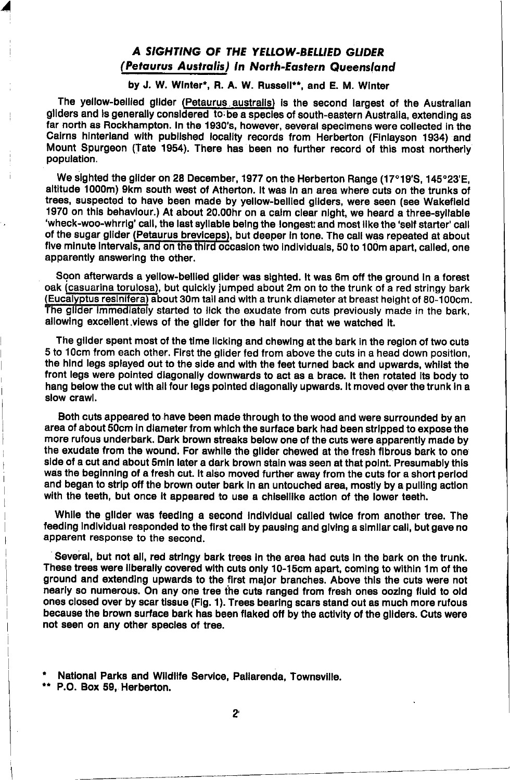# A SIGHTING OF THE YELLOW-BELLIED GLIDER (Petaurus Australis) In North-Eastern Queensland

by J. W. Winter\*. R. A. W. Russell\*\*, and E. M. Winter

The yellow-bellied glider (Petaurus australis) is the second largest of the Australian gliders and is generally considered to be a species of south-eastern Australia, extending as far north as Rockhampton. In the 1930's, however, several specimens were collected in the Calrns hlnterland wlth publlshed locallty records from Herberton (Flnlayson 1934) and Mount Spurgeon (Tate 1954). There has been no further record of this most northerly populatlon.

We sighted the glider on 28 December, 1977 on the Herberton Range (17°19'S, 145°23'E, altltude 1000m) 9km south west of Atherton. lt was ln an area where cuts on the trunks ot trees, suspected to have been made by yellow-bellted gllders, were seen (6ee Wakefleld 1970 on thls behavlour.) At about 20.00hr on a calm clear nlght, we heard a three-syllable 'wheck-woo-whrrig' call, the last syllable being the longest; and most like the 'self starter' call of the sugar glider (Petaurus breviceps), but deeper in tone. The call was repeated at about five minute intervals, and on the third occasion two individuals, 50 to 100m apart, called, one apparently answering the other.

Soon afterwards a vellow-bellied glider was sighted. It was 6m off the ground in a forest oak (casuarina torulosa), but quickly lumped about 2m on to the trunk of a red stringy bark (Eucalyptus reslnifera) aboul30m tall and wlth a trunk diameter at breast height of 80-100cm. The glider immediately started to lick the exudate from cuts previously made in the bark. allowing excellent views of the glider for the half hour that we watched it.

The gilder spent most of the time licking and chewing at the bark in the region of two cuts 5 to 1Ocm from each other. Flrst the glider fed from above the cuts in a head down positlon, the hlnd legs splayed out to the slde and wlth the teet turned back and upwards, whllst ihe front legs were polnted dlagonally downwards to act as a brace. lt then rotated lts body to hang below the cut with all four legs pointed diagonally upwards. It moved over the trunk in a slow crawl,

Both cuts appeared to have been made through to the wood and were surrounded by an area ot about 50cm In dlameter from whlch the surface bark had been strlpped to expose the more rufous underbark. Dark brown streaks below one of the cuts were apparently made by the exudate from the wound. For awhlle the gllder chewed at the fresh flbrous bark to one side of a cut and about 5min later a dark brown stain was seen at that point. Presumably this was the beginning of a fresh cut. It also moved further away from the cuts for a short period and began to strip off the brown outer bark in an untouched area, mostly by a pulling action with the teeth, but once it appeared to use a chisellike action of the lower teeth.

While the glider was feeding a second individual called twice from another tree. The feedlng Indlvldual responded to the flrst call by pauslng and glvlng a slmllar call, but gave no apparent response to the second.

Several, but not all, red stringy bark trees in the area had cuts in the bark on the trunk. These trees were llberally covered wlth cuts only 10-15cm apart, comlng to wlthln 'lm ot the ground and extending upwards to the first major branches. Above this the cuts were not nearly so numerous. On any one tree the cuts ranged from fresh ones oozing fluid to old ones closed over by scar tissue (Fig. 1). Trees bearing scars stand out as much more rufous because the brown surface bark has been flaked off by the activity of the gliders. Cuts were not seen on any other specleg of tree.

\* National Parks and Wildlife Service, Pallarenda, Townsville.<br>\*\* P.O. Box 59, Herberton.

/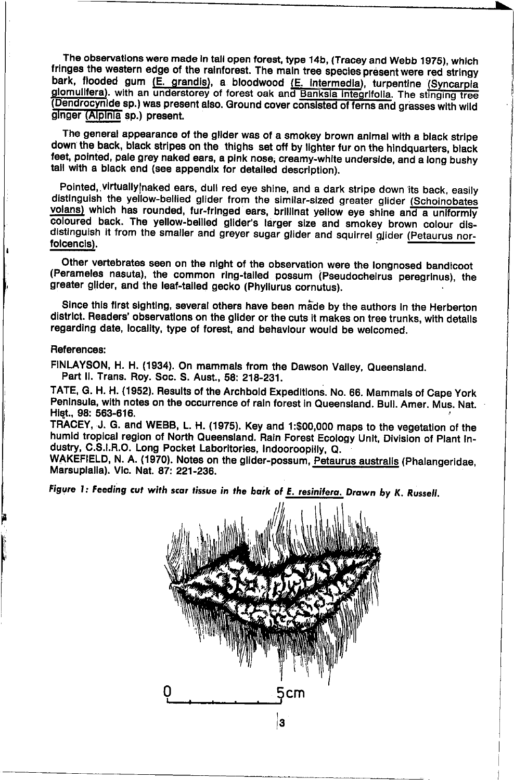The observations were made in tail open forest, type 14b, (Tracey and Webb 1975), which fringes the western edge of the rainforest. The main tree species present were red stringy bark, flooded gum (E. grandis), a bloodwood (E. intermedia), turpentine (Syncarpia glomulifera). with an understorey of forest oak and Banksia integrifolia. The stinging tree (Dendrocynide sp.) was present also. Ground cover consisted of ferns and grasses with wild ginger (Alpinia sp.) present.

The general appearance of the glider was of a smokey brown animal with a black stripe down the back, black stripes on the thighs set off by lighter fur on the hindquarters, black feet, pointed, pale grey naked ears, a pink nose, creamy-white underside, and a long bushy tail with a black end (see appendix for detailed description).

Pointed, virtually naked ears, dull red eye shine, and a dark stripe down its back, easily distinguish the yellow-bellied glider from the similar-sized greater glider (Schoinobates volans) which has rounded, fur-fringed ears, brillinat yellow eye shine and a uniformly coloured back. The yellow-bellied glider's larger size and smokey brown colour disdistinguish it from the smaller and greyer sugar glider and squirrel glider (Petaurus norfolcencis).

Other vertebrates seen on the night of the observation were the longnosed bandicoot (Perameles nasuta), the common ring-tailed possum (Pseudocheirus peregrinus), the greater glider, and the leaf-tailed gecko (Phyllurus cornutus).

Since this first sighting, several others have been made by the authors in the Herberton district. Readers' observations on the glider or the cuts it makes on tree trunks, with details regarding date, locality, type of forest, and behaviour would be welcomed.

#### References:

FINLAYSON, H. H. (1934). On mammals from the Dawson Valley, Queensland. Part II. Trans. Roy. Soc. S. Aust., 58: 218-231.

TATE, G. H. H. (1952). Results of the Archbold Expeditions. No. 66. Mammals of Cape York Peninsula, with notes on the occurrence of rain forest in Queensland. Bull. Amer. Mus. Nat. Hist., 98: 563-616.

TRACEY, J. G. and WEBB, L. H. (1975). Key and 1:\$00,000 maps to the vegetation of the humid tropical region of North Queensland. Rain Forest Ecology Unit, Division of Plant Industry, C.S.I.R.O. Long Pocket Laboritories, Indooroopilly, Q.

WAKEFIELD, N. A. (1970). Notes on the glider-possum, Petaurus australis (Phalangeridae, Marsupialia). Vic. Nat. 87: 221-236.

Figure 1: Feeding cut with scar tissue in the bark of E. resinitera. Drawn by K. Russell.

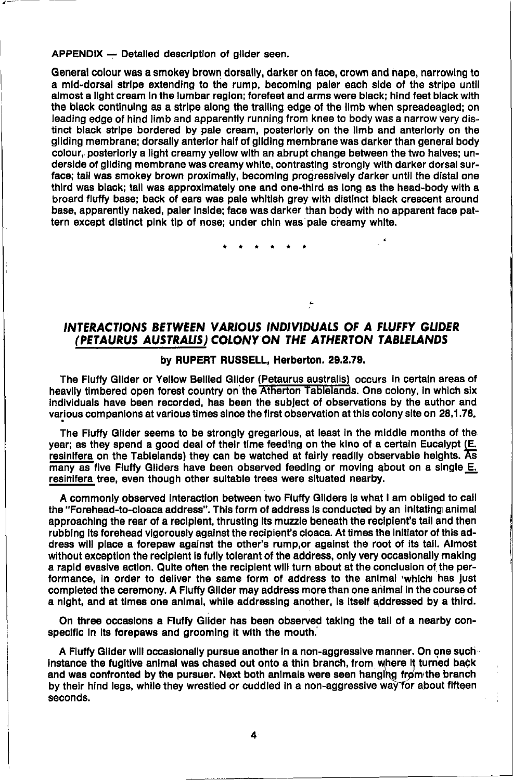APPENDIX - Detailed description of glider seen.

General colour was a smokey brown dorsally, darker on face, crown and nape, narrowing to a mid-dorsal stripe extending to the rump, becoming paler each side of the stripe until almost a light cream in the lumbar region; forefeet and arms were black; hind feet black with the black continuing as a stripe along the trailing edge of the limb when spreadeagled; on leading edge of hind limb and apparently running from knee to body was a narrow very distinct black stripe bordered by pale cream, posteriorly on the limb and anteriorly on the gliding membrane: dorsally anterior half of gliding membrane was darker than general body colour, posteriorly a light creamy yellow with an abrupt change between the two halves; underside of gliding membrane was creamy white, contrasting strongly with darker dorsal surface; tail was smokey brown proximally, becoming progressively darker until the distal one third was black: tall was approximately one and one-third as long as the head-body with a broard fluffy base; back of ears was pale whitish grey with distinct black crescent around base, apparently naked, paler inside; face was darker than body with no apparent face pattern except distinct pink tip of nose: under chin was pale creamy white.

# INTERACTIONS BETWEEN VARIOUS INDIVIDUALS OF A FLUFFY GLIDER (PETAURUS AUSTRALIS) COLONY ON THE ATHERTON TABLELANDS

#### by RUPERT RUSSELL, Herberton. 29.2.79.

The Fluffy Glider or Yellow Bellied Glider (Petaurus australis) occurs in certain areas of heavily timbered open forest country on the Atherton Tablelands. One colony, in which six individuals have been recorded, has been the subject of observations by the author and various companions at various times since the first observation at this colony site on 28.1.78.

The Fluffy Glider seems to be strongly gregarious, at least in the middle months of the year; as they spend a good deal of their time feeding on the kino of a certain Eucalypt (E. resinifera on the Tablelands) they can be watched at fairly readily observable heights.  $\overline{\mathbf{As}}$ many as five Fluffy Gliders have been observed feeding or moving about on a single E. resinifera tree, even though other suitable trees were situated nearby.

A commonly observed interaction between two Fluffy Gliders is what I am obliged to call the "Forehead-to-cloaca address". This form of address is conducted by an initating animal approaching the rear of a recipient, thrusting its muzzle beneath the recipient's tail and then rubbing its forehead vigorously against the recipient's cloaca. At times the initiator of this address will place a forepaw against the other's rump or against the root of its tail. Almost without exception the recipient is fully tolerant of the address, only very occasionally making a rapid evasive action. Quite often the recipient will turn about at the conclusion of the performance, in order to deliver the same form of address to the animal 'whichi has just completed the ceremony. A Fluffy Gilder may address more than one animal in the course of a night, and at times one animal, while addressing another, is itself addressed by a third.

On three occasions a Fluffy Glider has been observed taking the tail of a nearby conspecific in its forepaws and grooming it with the mouth.

A Fluffy Glider will occasionally pursue another in a non-aggressive manner. On one such instance the fugitive animal was chased out onto a thin branch, from where it turned back and was confronted by the pursuer. Next both animals were seen hanging from the branch by their hind leas, while they wrestled or cuddled in a non-aggressive way for about fifteen seconds.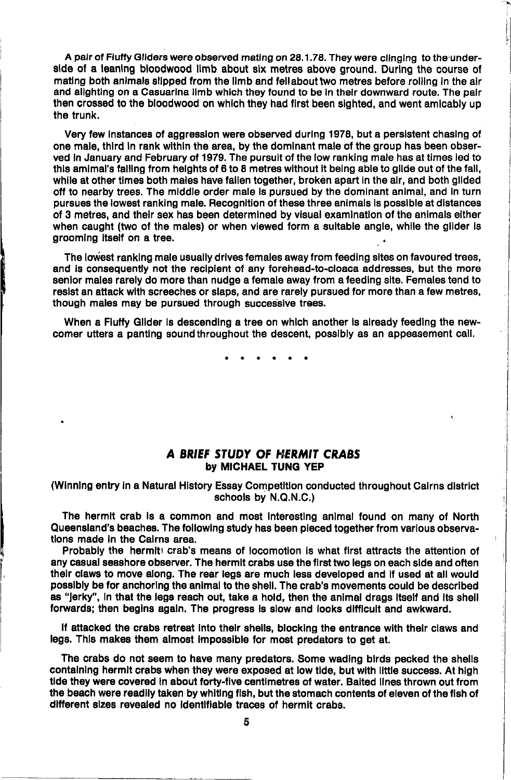A pair of Fluffy Gliders were observed mating on 28.1.78. They were clinging to the underside of a leaning bloodwood limb about six metres above ground. During the course of mating both animals slipped from the limb and fellabout two metres before rolling in the air and alighting on a Casuarina limb which they found to be in their downward route. The pair then crossed to the bloodwood on which they had first been sighted, and went amicably up the trunk.

Very few Instances of aggresslon were obseryed durlng 1978, but a perslstent chaslng of one male, third in rank within the area, by the dominant male of the group has been observed In January and February of 1979. The pursult of the low ranklng male has at times led to this amimal's falling from helghts of 6 to 8 metres without it being able to glide out of the fall, while at other times both males have fallen together, broken apart in the air, and both glided off to nearby trees. The middle order male is pursued by the dominant animal, and in turn pursues the lowest ranking male. Recognition of these three animals is possible at distances of 3 metres, and thelr sex hae been determlned by vlsual examlnatlon of the anlmals either when caught (two of the males) or when viewed form a suitable angle, while the glider is groomlng ltself on a tree.

The lowest ranking male usually drives females away from feeding sites on favoured trees, and is consequently not the recipient of any forehead-to-cloaca addresses, but the more senior males rarely do more than nudge a female away from a feeding site. Females tend to resist an attack with screeches or slaps, and are rarely pursued for more than a few metres, though males may be pursued through successlve trees,

When a Flutfy Gllder ls descendlng a tree on whlch another ls already teedlng the newcomer utters a panting sound throughout the descent, possibly as an appeasement call.

#### A BRIEF STUDY OF HERMIT CRABS by MICHAEL TUNG YEP

(Winning entry in a Natural History Essay Competition conducted throughout Cairns district schools by N.Q.N.C.)

The hermlt crab ls a common and most Interestlng anlmal found on many of North Queensland's beaches. The following study has been pleced together from various observations made in the Cairns area.

Probably the hermiti crab's means of locomotion is what first attracts the attention of any casual seashore observer. The hermit crabs use the first two legs on each side and often thelr claws to move along, The rear legs are much less developed and lf used at all would possibly be for anchoring the animal to the shell. The crab's movements could be described as "jerky", in that the legs reach out, take a hold, then the animal drags itself and its shell forwards; then begins again. The progress is slow and looks difficult and awkward.

If attacked the crabs retreat into their shells, blocking the entrance with their claws and legs. This makes them almost impossible for most predators to get at.

The crabs do not seem to have many predators. Some wadlng blrds pecked the shells contalnlng hermlt crabs when they were exposed at low tlde, but wlth llttle success. At hlgh tide they were covered in about forty-five centimetres of water. Baited lines thrown out from the beach were readlly taken by whltlng flsh, but the stomach contents of eleven of the flsh of different sizes revealed no identifiable traces of hermit crabs.

5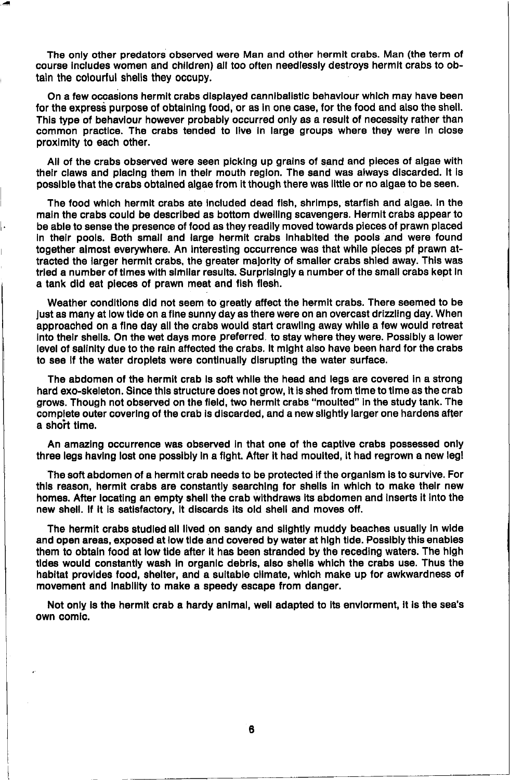The only other predators observed were Man and other hermit crabs. Man (the term of course includes women and children) all too often needlessly destroys hermit crabs to obtain the colourful shells they occupy.

On a few occasions hermit crabs displayed cannibalistic behaviour which may have been for the express purpose of obtaining food, or as in one case, for the food and also the shell. This type of behaviour however probably occurred only as a result of necessity rather than common practice. The crabs tended to live in large groups where they were in close proximity to each other.

All of the crabs observed were seen picking up grains of sand and pieces of algae with their claws and placing them in their mouth region. The sand was always discarded. It is possible that the crabs obtained algae from it though there was little or no algae to be seen.

The food which hermit crabs ate included dead fish, shrimps, starfish and algae. In the main the crabs could be described as bottom dwelling scavengers. Hermit crabs appear to be able to sense the presence of food as they readily moved towards pieces of prawn placed in their pools. Both small and large hermit crabs inhabited the pools and were found together almost everywhere. An interesting occurrence was that while pieces pf prawn attracted the larger hermit crabs, the greater majority of smaller crabs shied away. This was tried a number of times with similar results. Surprisingly a number of the small crabs kept in a tank did eat pieces of prawn meat and fish flesh.

Weather conditions did not seem to greatly affect the hermit crabs. There seemed to be just as many at low tide on a fine sunny day as there were on an overcast drizzling day. When approached on a fine day all the crabs would start crawling away while a few would retreat into their shells. On the wet days more preferred, to stay where they were. Possibly a lower level of salinity due to the rain affected the crabs. It might also have been hard for the crabs to see if the water droplets were continually disrupting the water surface.

The abdomen of the hermit crab is soft while the head and legs are covered in a strong hard exo-skeleton. Since this structure does not grow, it is shed from time to time as the crab grows. Though not observed on the field, two hermit crabs "moulted" in the study tank. The complete outer covering of the crab is discarded, and a new slightly larger one hardens after a short time.

An amazing occurrence was observed in that one of the captive crabs possessed only three legs having lost one possibly in a fight. After it had moulted, it had regrown a new leg!

The soft abdomen of a hermit crab needs to be protected if the organism is to survive. For this reason, hermit crabs are constantly searching for shells in which to make their new homes. After locating an empty shell the crab withdraws its abdomen and inserts it into the new shell. If it is satisfactory, it discards its old shell and moves off.

The hermit crabs studied all lived on sandy and slightly muddy beaches usually in wide and open areas, exposed at low tide and covered by water at high tide. Possibly this enables them to obtain food at low tide after it has been stranded by the receding waters. The high tides would constantly wash in organic debris, also shells which the crabs use. Thus the habitat provides food, shelter, and a suitable climate, which make up for awkwardness of movement and inability to make a speedy escape from danger.

Not only is the hermit crab a hardy animal, well adapted to its enviorment, it is the sea's own comic.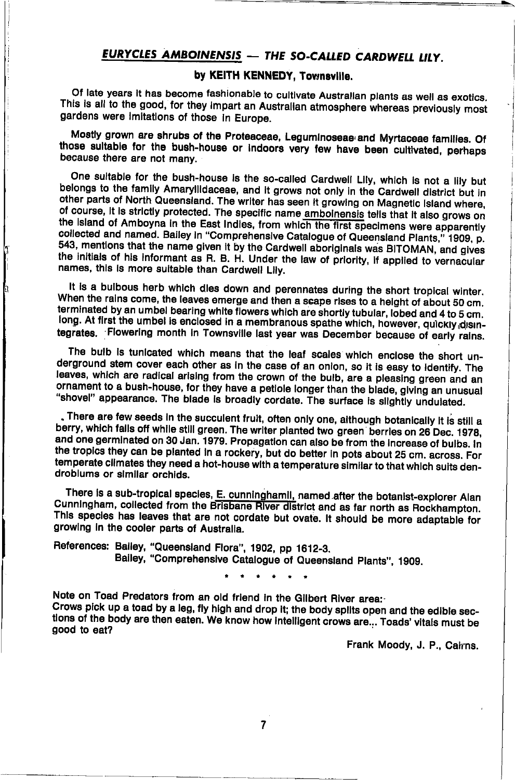# EURYCLES AMBOINENSIS - THE SO-CALLED CARDWELL LILY.

# bv KEITH KENNEDY, Townsville.

Of late vears it has become fashionable to cultivate Australian plants as well as exotics. This is all to the good, for they impart an Australian atmosphere whereas previously most cardens were imitations of those in Europe.

Mostly grown are shrubs of the Proteaceae, Leguminoseae and Myrtaceae families. Of those sultable for the bush-house or indoors very few have been cultivated, perhaps because there are not many.

One suitable for the bush-house is the so-called Cardwell Lily, which is not a lily but belongs to the family Amaryllidaceae, and it grows not only in the Cardwell district but in other parts of North Queensland. The writer has seen it growing on Magnetic Island where. of course, it is strictly protected. The specific name amboinensis tells that it also grows on the Island of Amboyna in the East Indies, from which the first specimens were apparently collected and named. Bailey in "Comprehensive Catalogue of Queensland Plants," 1909, p. 543, mentions that the name given it by the Cardwell aboriginals was BITOMAN, and gives the initials of his informant as R. B. H. Under the law of priority, if applied to vernacular names, this is more suitable than Cardwell Lily.

It is a bulbous herb which dies down and perennates during the short tropical winter. When the rains come, the leaves emerge and then a scape rises to a height of about 50 cm. terminated by an umbel bearing white flowers which are shortly tubular, lobed and 4 to 5 cm. long. At first the umbel is enclosed in a membranous spathe which, however, quickly disintegrates. Flowering month in Townsville last year was December because of early rains.

b

The bulb is tunicated which means that the leaf scales which enclose the short underground stem cover each other as in the case of an onion, so it is easy to identify. The leaves, which are radical arising from the crown of the buib, are a pleasing green and an ornament to a bush-house, for they have a petiole longer than the blade, giving an unusual "shovel" appearance. The blade is broadly cordate. The surface is slightly undulated.

. There are few seeds in the succulent fruit, often only one, although botanically it is still a berry, which falls off while still green. The writer planted two green berries on 26 Dec. 1978. and one germinated on 30 Jan. 1979. Propagation can also be from the increase of bulbs. In the tropics they can be planted in a rockery, but do better in pots about 25 cm. across. For temperate climates they need a hot-house with a temperature similar to that which suits dendroblums or similar orchids.

There is a sub-tropical species, E. cunninghamil, named after the botanist-explorer Alan Cunningham, collected from the Brisbane River district and as far north as Rockhampton. This species has leaves that are not cordate but ovate. It should be more adaptable for growing in the cooler parts of Australia.

References: Balley, "Queensland Flora", 1902, pp 1612-3. Balley, "Comprehensive Catalogue of Queensland Plants", 1909.

Note on Toad Predators from an old friend in the Gilbert River area: Crows pick up a toad by a leg, fly high and drop it; the body splits open and the edible sections of the body are then eaten. We know how intelligent crows are... Toads' vitals must be good to eat?

Frank Moody, J. P., Calrns.

 $\overline{7}$